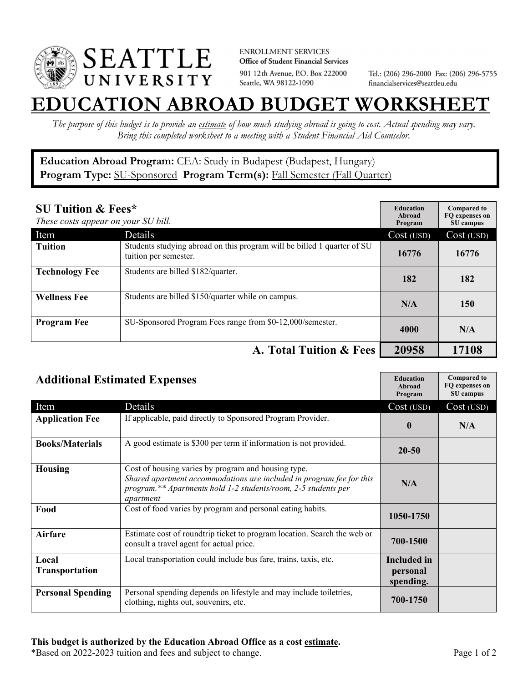

**ENROLLMENT SERVICES** Office of Student Financial Services 901 12th Avenue, P.O. Box 222000 Seattle, WA 98122-1090

Tel.: (206) 296-2000 Fax: (206) 296-5755 financialservices@seattleu.edu

## **EATION ABROAD BUDGET WORKSHEE**

*The purpose of this budget is to provide an estimate of how much studying abroad is going to cost. Actual spending may vary. Bring this completed worksheet to a meeting with a Student Financial Aid Counselor.* 

## **Education Abroad Program:** CEA: Study in Budapest (Budapest, Hungary) Program Type: **SU-Sponsored** Program Term(s): **Fall Semester (Fall Quarter)**

| <b>SU Tuition &amp; Fees*</b><br>These costs appear on your SU bill. |                                                                                                  | <b>Education</b><br>Abroad<br>Program | <b>Compared to</b><br>FO expenses on<br>SU campus |
|----------------------------------------------------------------------|--------------------------------------------------------------------------------------------------|---------------------------------------|---------------------------------------------------|
| Item                                                                 | Details                                                                                          | Cost (USD)                            | Cost (USD)                                        |
| <b>Tuition</b>                                                       | Students studying abroad on this program will be billed 1 quarter of SU<br>tuition per semester. | 16776                                 | 16776                                             |
| <b>Technology Fee</b>                                                | Students are billed \$182/quarter.                                                               | 182                                   | 182                                               |
| <b>Wellness Fee</b>                                                  | Students are billed \$150/quarter while on campus.                                               | N/A                                   | 150                                               |
| <b>Program Fee</b>                                                   | SU-Sponsored Program Fees range from \$0-12,000/semester.                                        | 4000                                  | N/A                                               |
|                                                                      | A. Total Tuition & Fees                                                                          | 20958                                 | 17108                                             |

| <b>Additional Estimated Expenses</b> |                                                                                                                                                                                                            | <b>Education</b><br>Abroad<br>Program       | <b>Compared to</b><br>FQ expenses on<br>SU campus |
|--------------------------------------|------------------------------------------------------------------------------------------------------------------------------------------------------------------------------------------------------------|---------------------------------------------|---------------------------------------------------|
| Item                                 | Details                                                                                                                                                                                                    | Cost (USD)                                  | Cost (USD)                                        |
| <b>Application Fee</b>               | If applicable, paid directly to Sponsored Program Provider.                                                                                                                                                | $\mathbf{0}$                                | N/A                                               |
| <b>Books/Materials</b>               | A good estimate is \$300 per term if information is not provided.                                                                                                                                          | $20 - 50$                                   |                                                   |
| <b>Housing</b>                       | Cost of housing varies by program and housing type.<br>Shared apartment accommodations are included in program fee for this<br>program.** Apartments hold 1-2 students/room, 2-5 students per<br>apartment | N/A                                         |                                                   |
| Food                                 | Cost of food varies by program and personal eating habits.                                                                                                                                                 | 1050-1750                                   |                                                   |
| <b>Airfare</b>                       | Estimate cost of roundtrip ticket to program location. Search the web or<br>consult a travel agent for actual price.                                                                                       | 700-1500                                    |                                                   |
| Local<br>Transportation              | Local transportation could include bus fare, trains, taxis, etc.                                                                                                                                           | <b>Included</b> in<br>personal<br>spending. |                                                   |
| <b>Personal Spending</b>             | Personal spending depends on lifestyle and may include toiletries,<br>clothing, nights out, souvenirs, etc.                                                                                                | 700-1750                                    |                                                   |